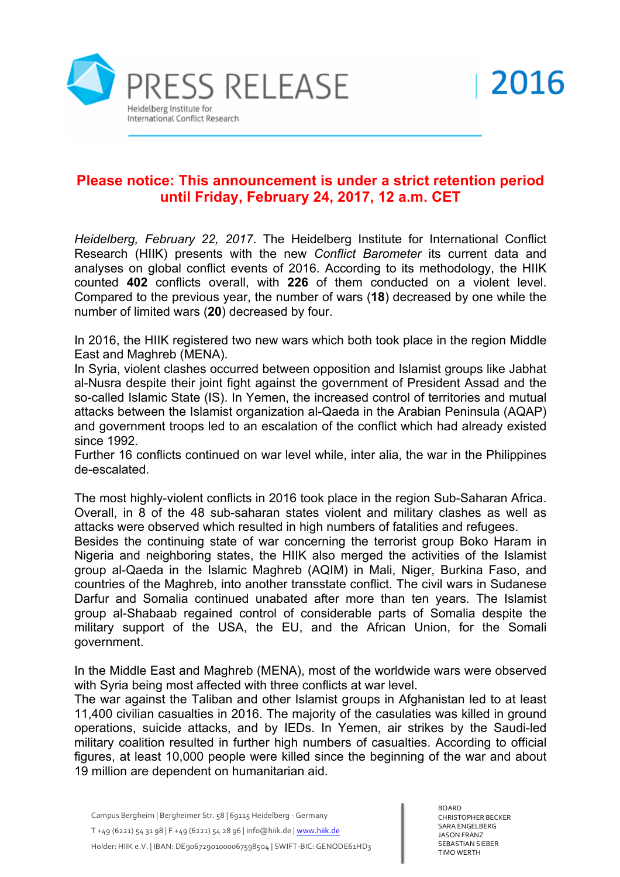

## **Please notice: This announcement is under a strict retention period until Friday, February 24, 2017, 12 a.m. CET**

*Heidelberg, February 22, 2017*. The Heidelberg Institute for International Conflict Research (HIIK) presents with the new *Conflict Barometer* its current data and analyses on global conflict events of 2016. According to its methodology, the HIIK counted **402** conflicts overall, with **226** of them conducted on a violent level. Compared to the previous year, the number of wars (**18**) decreased by one while the number of limited wars (**20**) decreased by four.

In 2016, the HIIK registered two new wars which both took place in the region Middle East and Maghreb (MENA).

In Syria, violent clashes occurred between opposition and Islamist groups like Jabhat al-Nusra despite their joint fight against the government of President Assad and the so-called Islamic State (IS). In Yemen, the increased control of territories and mutual attacks between the Islamist organization al-Qaeda in the Arabian Peninsula (AQAP) and government troops led to an escalation of the conflict which had already existed since 1992.

Further 16 conflicts continued on war level while, inter alia, the war in the Philippines de-escalated.

The most highly-violent conflicts in 2016 took place in the region Sub-Saharan Africa. Overall, in 8 of the 48 sub-saharan states violent and military clashes as well as attacks were observed which resulted in high numbers of fatalities and refugees.

Besides the continuing state of war concerning the terrorist group Boko Haram in Nigeria and neighboring states, the HIIK also merged the activities of the Islamist group al-Qaeda in the Islamic Maghreb (AQIM) in Mali, Niger, Burkina Faso, and countries of the Maghreb, into another transstate conflict. The civil wars in Sudanese Darfur and Somalia continued unabated after more than ten years. The Islamist group al-Shabaab regained control of considerable parts of Somalia despite the military support of the USA, the EU, and the African Union, for the Somali government.

In the Middle East and Maghreb (MENA), most of the worldwide wars were observed with Syria being most affected with three conflicts at war level.

The war against the Taliban and other Islamist groups in Afghanistan led to at least 11,400 civilian casualties in 2016. The majority of the casulaties was killed in ground operations, suicide attacks, and by IEDs. In Yemen, air strikes by the Saudi-led military coalition resulted in further high numbers of casualties. According to official figures, at least 10,000 people were killed since the beginning of the war and about 19 million are dependent on humanitarian aid.